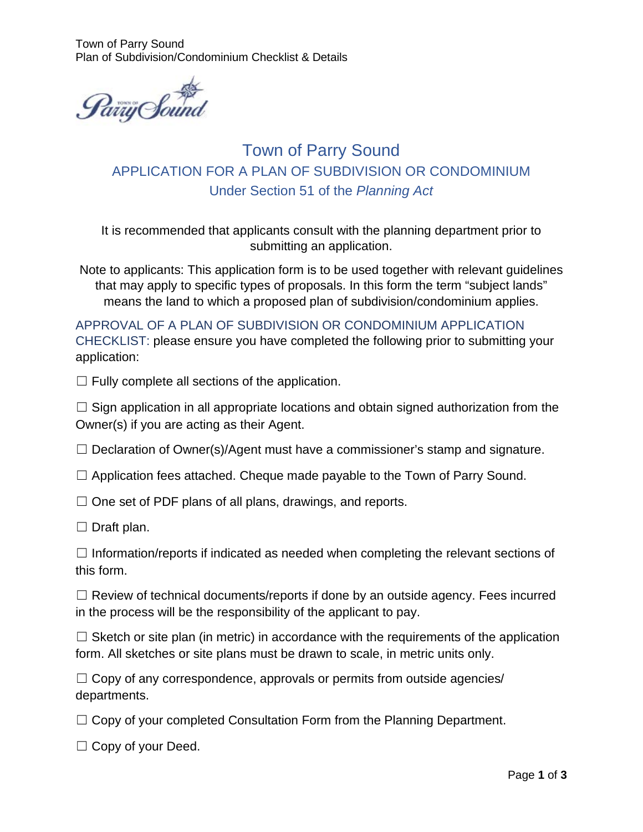Town of Parry Sound Plan of Subdivision/Condominium Checklist & Details



Town of Parry Sound APPLICATION FOR A PLAN OF SUBDIVISION OR CONDOMINIUM Under Section 51 of the *Planning Act*

It is recommended that applicants consult with the planning department prior to submitting an application.

Note to applicants: This application form is to be used together with relevant guidelines that may apply to specific types of proposals. In this form the term "subject lands" means the land to which a proposed plan of subdivision/condominium applies.

APPROVAL OF A PLAN OF SUBDIVISION OR CONDOMINIUM APPLICATION CHECKLIST: please ensure you have completed the following prior to submitting your application:

 $\Box$  Fully complete all sections of the application.

 $\Box$  Sign application in all appropriate locations and obtain signed authorization from the Owner(s) if you are acting as their Agent.

 $\Box$  Declaration of Owner(s)/Agent must have a commissioner's stamp and signature.

 $\Box$  Application fees attached. Cheque made payable to the Town of Parry Sound.

 $\Box$  One set of PDF plans of all plans, drawings, and reports.

 $\Box$  Draft plan.

 $\Box$  Information/reports if indicated as needed when completing the relevant sections of this form.

 $\Box$  Review of technical documents/reports if done by an outside agency. Fees incurred in the process will be the responsibility of the applicant to pay.

 $\Box$  Sketch or site plan (in metric) in accordance with the requirements of the application form. All sketches or site plans must be drawn to scale, in metric units only.

 $\Box$  Copy of any correspondence, approvals or permits from outside agencies/ departments.

 $\Box$  Copy of your completed Consultation Form from the Planning Department.

☐ Copy of your Deed.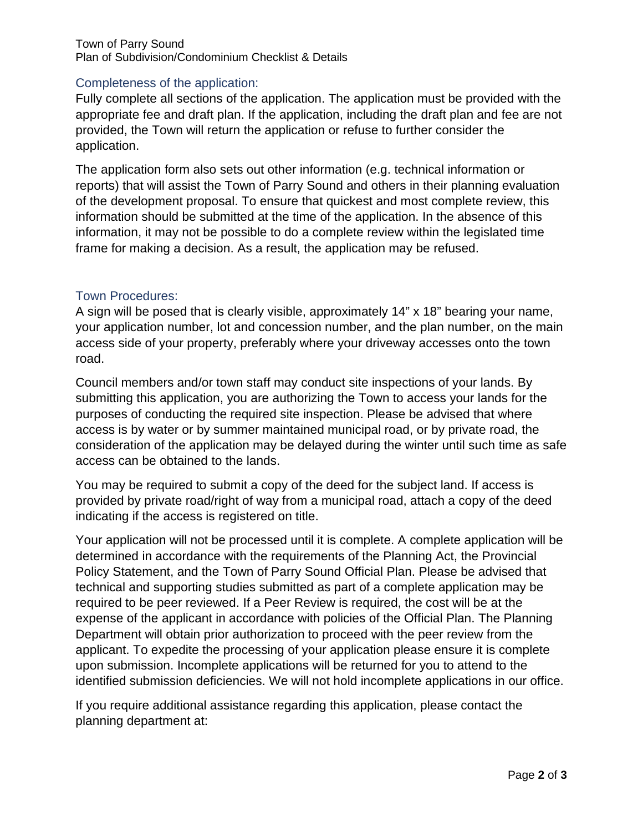#### Town of Parry Sound Plan of Subdivision/Condominium Checklist & Details

### Completeness of the application:

Fully complete all sections of the application. The application must be provided with the appropriate fee and draft plan. If the application, including the draft plan and fee are not provided, the Town will return the application or refuse to further consider the application.

The application form also sets out other information (e.g. technical information or reports) that will assist the Town of Parry Sound and others in their planning evaluation of the development proposal. To ensure that quickest and most complete review, this information should be submitted at the time of the application. In the absence of this information, it may not be possible to do a complete review within the legislated time frame for making a decision. As a result, the application may be refused.

### Town Procedures:

A sign will be posed that is clearly visible, approximately 14" x 18" bearing your name, your application number, lot and concession number, and the plan number, on the main access side of your property, preferably where your driveway accesses onto the town road.

Council members and/or town staff may conduct site inspections of your lands. By submitting this application, you are authorizing the Town to access your lands for the purposes of conducting the required site inspection. Please be advised that where access is by water or by summer maintained municipal road, or by private road, the consideration of the application may be delayed during the winter until such time as safe access can be obtained to the lands.

You may be required to submit a copy of the deed for the subject land. If access is provided by private road/right of way from a municipal road, attach a copy of the deed indicating if the access is registered on title.

Your application will not be processed until it is complete. A complete application will be determined in accordance with the requirements of the Planning Act, the Provincial Policy Statement, and the Town of Parry Sound Official Plan. Please be advised that technical and supporting studies submitted as part of a complete application may be required to be peer reviewed. If a Peer Review is required, the cost will be at the expense of the applicant in accordance with policies of the Official Plan. The Planning Department will obtain prior authorization to proceed with the peer review from the applicant. To expedite the processing of your application please ensure it is complete upon submission. Incomplete applications will be returned for you to attend to the identified submission deficiencies. We will not hold incomplete applications in our office.

If you require additional assistance regarding this application, please contact the planning department at: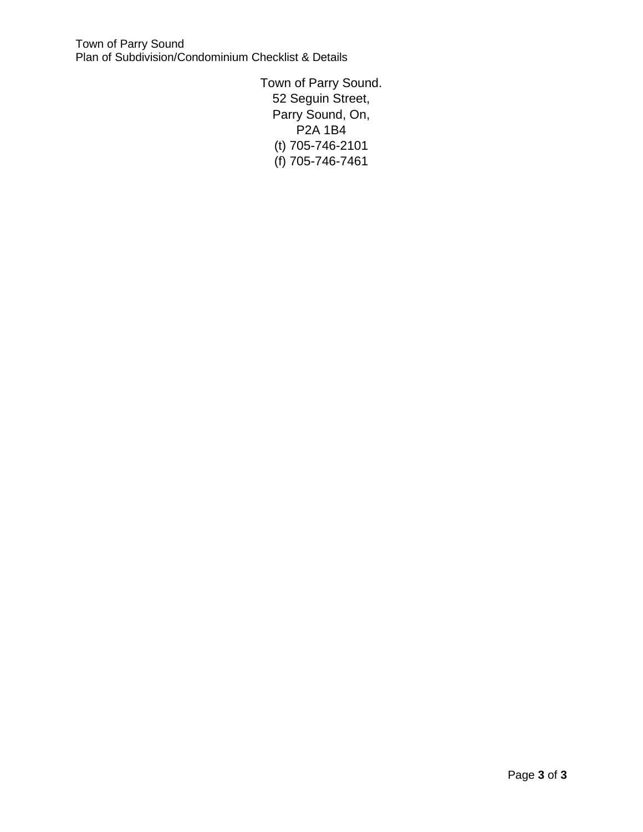Town of Parry Sound Plan of Subdivision/Condominium Checklist & Details

> Town of Parry Sound. 52 Seguin Street, Parry Sound, On, P2A 1B4 (t) 705-746-2101 (f) 705-746-7461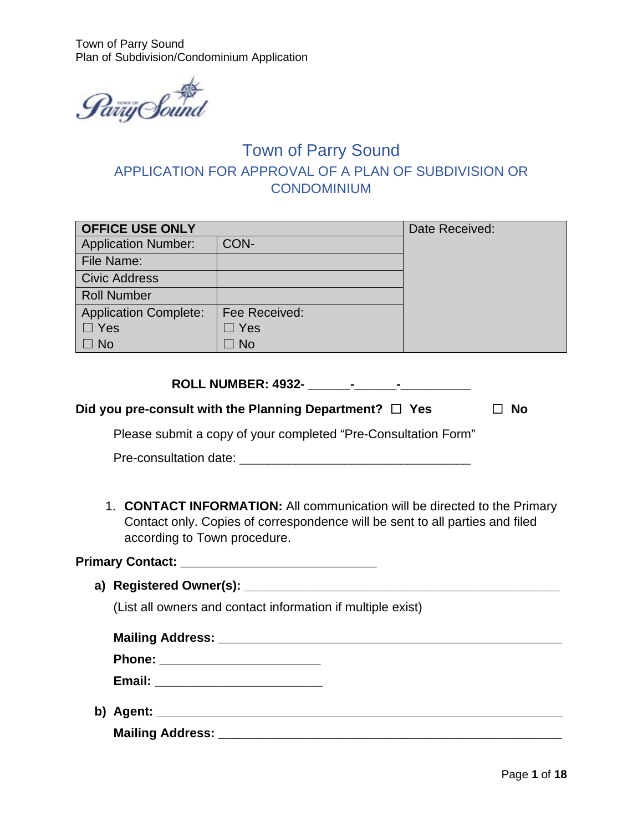Town of Parry Sound Plan of Subdivision/Condominium Application



# Town of Parry Sound APPLICATION FOR APPROVAL OF A PLAN OF SUBDIVISION OR **CONDOMINIUM**

| <b>OFFICE USE ONLY</b>       | Date Received: |  |
|------------------------------|----------------|--|
| <b>Application Number:</b>   | CON-           |  |
| File Name:                   |                |  |
| <b>Civic Address</b>         |                |  |
| <b>Roll Number</b>           |                |  |
| <b>Application Complete:</b> | Fee Received:  |  |
| $\Box$ Yes                   | $\Box$ Yes     |  |
| $\Box$ No                    | $\Box$ No      |  |
|                              |                |  |

| <b>ROLL NUMBER: 4932-</b> |  |  |
|---------------------------|--|--|
|                           |  |  |

| Did you pre-consult with the Planning Department? $\Box$ Yes | $\Box$ No |
|--------------------------------------------------------------|-----------|
|--------------------------------------------------------------|-----------|

Please submit a copy of your completed "Pre-Consultation Form"

| Pre-consultation date: |  |
|------------------------|--|
|------------------------|--|

1. **CONTACT INFORMATION:** All communication will be directed to the Primary Contact only. Copies of correspondence will be sent to all parties and filed according to Town procedure.

**Primary Contact: \_\_\_\_\_\_\_\_\_\_\_\_\_\_\_\_\_\_\_\_\_\_\_\_\_\_\_\_**

**a) Registered Owner(s): \_\_\_\_\_\_\_\_\_\_\_\_\_\_\_\_\_\_\_\_\_\_\_\_\_\_\_\_\_\_\_\_\_\_\_\_\_\_\_\_\_\_\_\_\_** 

(List all owners and contact information if multiple exist)

| Phone: _________________________ |  |
|----------------------------------|--|
|                                  |  |
|                                  |  |

**Mailing Address: \_\_\_\_\_\_\_\_\_\_\_\_\_\_\_\_\_\_\_\_\_\_\_\_\_\_\_\_\_\_\_\_\_\_\_\_\_\_\_\_\_\_\_\_\_\_\_\_\_**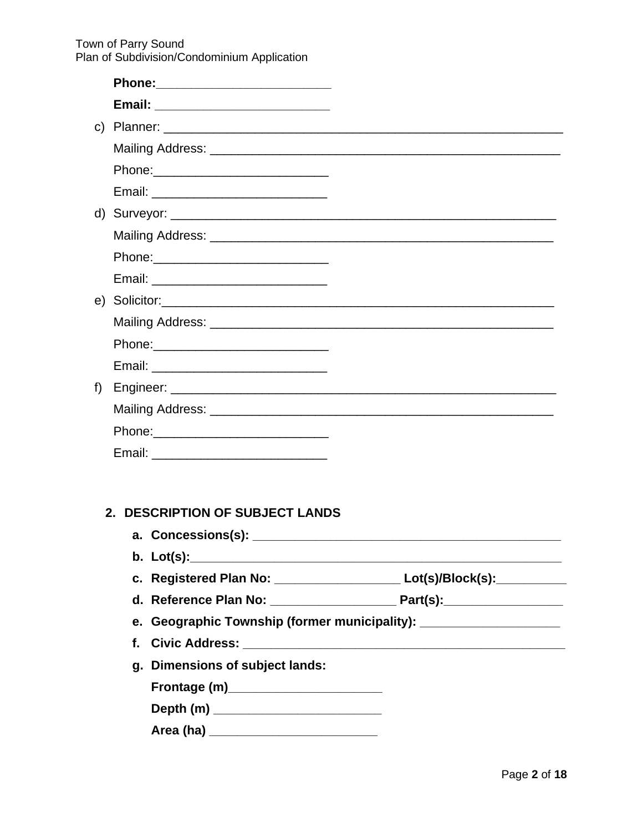Town of Parry Sound<br>Plan of Subdivision/Condominium Application

| Phone: 2008 2010 2010 2010 2010 2011 2021 2022 2023 2024 2022 2023 2024 2022 2023 2024 2022 2023 2024 2025 20 |                                                                             |
|---------------------------------------------------------------------------------------------------------------|-----------------------------------------------------------------------------|
|                                                                                                               |                                                                             |
|                                                                                                               |                                                                             |
|                                                                                                               |                                                                             |
|                                                                                                               |                                                                             |
|                                                                                                               |                                                                             |
| f)                                                                                                            |                                                                             |
|                                                                                                               |                                                                             |
|                                                                                                               |                                                                             |
|                                                                                                               |                                                                             |
|                                                                                                               |                                                                             |
|                                                                                                               |                                                                             |
| 2. DESCRIPTION OF SUBJECT LANDS                                                                               |                                                                             |
| a. Concessions(s):                                                                                            |                                                                             |
|                                                                                                               |                                                                             |
|                                                                                                               | c. Registered Plan No: _____________________ Lot(s)/Block(s): __________    |
|                                                                                                               |                                                                             |
|                                                                                                               | e. Geographic Township (former municipality): _____________________________ |
| f.                                                                                                            |                                                                             |
| g. Dimensions of subject lands:                                                                               |                                                                             |
| Frontage (m)_________________________                                                                         |                                                                             |
|                                                                                                               |                                                                             |
| Area (ha) __________________________                                                                          |                                                                             |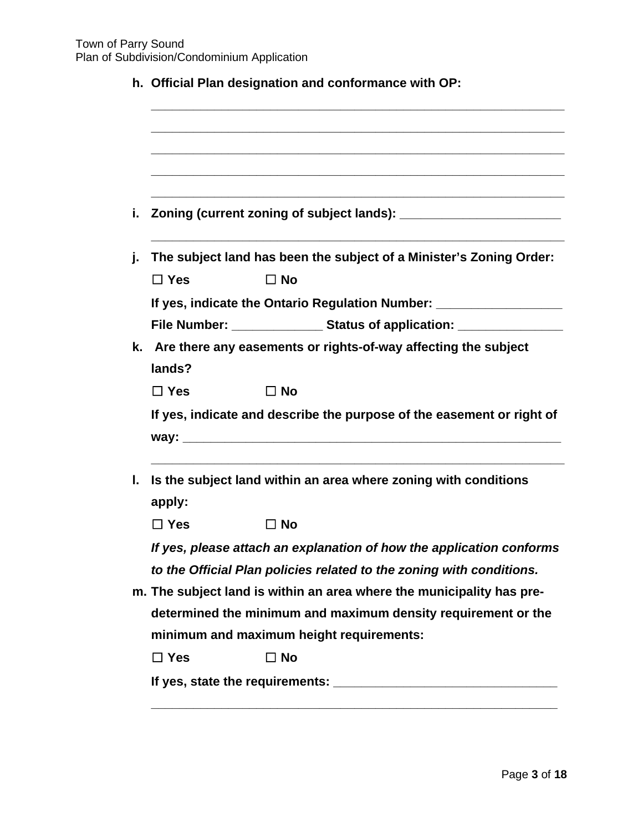|            | The subject land has been the subject of a Minister's Zoning Order:                                                                    |
|------------|----------------------------------------------------------------------------------------------------------------------------------------|
| $\Box$ Yes | $\Box$ No                                                                                                                              |
|            | If yes, indicate the Ontario Regulation Number: ________________________________                                                       |
|            | File Number: ____________________ Status of application: __________________                                                            |
|            | k. Are there any easements or rights-of-way affecting the subject                                                                      |
| lands?     |                                                                                                                                        |
| $\Box$ Yes | $\Box$ No                                                                                                                              |
|            | If yes, indicate and describe the purpose of the easement or right of                                                                  |
|            | Is the subject land within an area where zoning with conditions                                                                        |
| apply:     |                                                                                                                                        |
| $\Box$ Yes | $\Box$ No                                                                                                                              |
|            | If yes, please attach an explanation of how the application conforms                                                                   |
|            | to the Official Plan policies related to the zoning with conditions.                                                                   |
|            | m. The subject land is within an area where the municipality has pre-<br>determined the minimum and maximum density requirement or the |
|            | minimum and maximum height requirements:                                                                                               |
|            |                                                                                                                                        |
| $\Box$ Yes | $\Box$ No                                                                                                                              |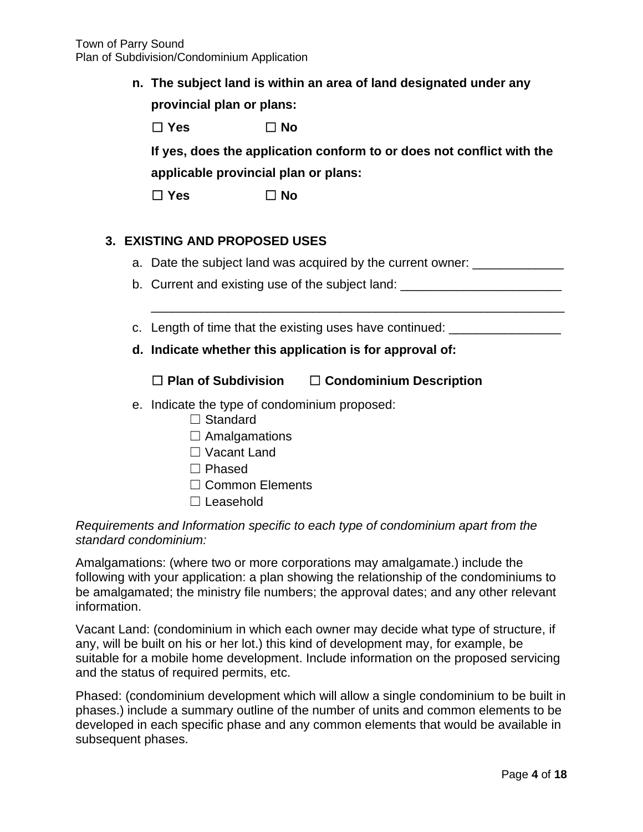**n. The subject land is within an area of land designated under any provincial plan or plans:**

| $\Box$ Yes                                                            | ⊟ No∶ |  |  |  |  |
|-----------------------------------------------------------------------|-------|--|--|--|--|
| If yes, does the application conform to or does not conflict with the |       |  |  |  |  |
| applicable provincial plan or plans:                                  |       |  |  |  |  |

☐ **Yes** ☐ **No**

# **3. EXISTING AND PROPOSED USES**

a. Date the subject land was acquired by the current owner:

\_\_\_\_\_\_\_\_\_\_\_\_\_\_\_\_\_\_\_\_\_\_\_\_\_\_\_\_\_\_\_\_\_\_\_\_\_\_\_\_\_\_\_\_\_\_\_\_\_\_\_\_\_\_\_\_\_\_\_

- b. Current and existing use of the subject land:
- c. Length of time that the existing uses have continued: \_\_\_\_\_\_\_\_\_\_\_\_\_\_\_\_\_\_\_\_\_\_\_
- **d. Indicate whether this application is for approval of:**

# ☐ **Plan of Subdivision** ☐ **Condominium Description**

- e. Indicate the type of condominium proposed:
	- □ Standard
	- $\Box$  Amalgamations
	- ☐ Vacant Land
	- ☐ Phased
	- □ Common Elements
	- ☐ Leasehold

## *Requirements and Information specific to each type of condominium apart from the standard condominium:*

Amalgamations: (where two or more corporations may amalgamate.) include the following with your application: a plan showing the relationship of the condominiums to be amalgamated; the ministry file numbers; the approval dates; and any other relevant information.

Vacant Land: (condominium in which each owner may decide what type of structure, if any, will be built on his or her lot.) this kind of development may, for example, be suitable for a mobile home development. Include information on the proposed servicing and the status of required permits, etc.

Phased: (condominium development which will allow a single condominium to be built in phases.) include a summary outline of the number of units and common elements to be developed in each specific phase and any common elements that would be available in subsequent phases.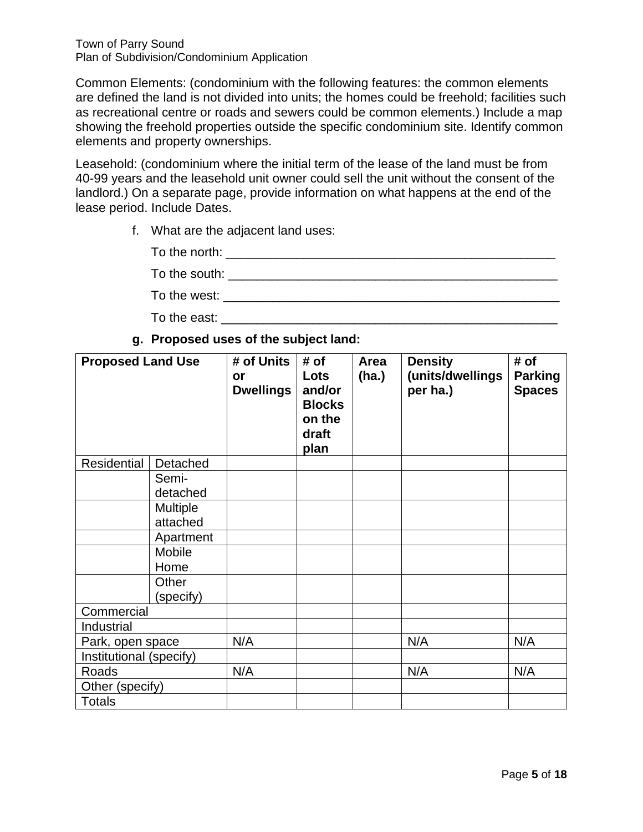Common Elements: (condominium with the following features: the common elements are defined the land is not divided into units; the homes could be freehold; facilities such as recreational centre or roads and sewers could be common elements.) Include a map showing the freehold properties outside the specific condominium site. Identify common elements and property ownerships.

Leasehold: (condominium where the initial term of the lease of the land must be from 40-99 years and the leasehold unit owner could sell the unit without the consent of the landlord.) On a separate page, provide information on what happens at the end of the lease period. Include Dates.

f. What are the adjacent land uses:

| To the north: |  |
|---------------|--|
| To the south: |  |
| To the west:  |  |

To the east:  $\blacksquare$ 

**g. Proposed uses of the subject land:** 

| <b>Proposed Land Use</b> |                      | # of Units<br>or<br><b>Dwellings</b> | # of<br>Lots<br>and/or<br><b>Blocks</b><br>on the<br>draft<br>plan | Area<br>(ha.) | <b>Density</b><br>(units/dwellings<br>per ha.) | # of<br><b>Parking</b><br><b>Spaces</b> |
|--------------------------|----------------------|--------------------------------------|--------------------------------------------------------------------|---------------|------------------------------------------------|-----------------------------------------|
| Residential              | Detached             |                                      |                                                                    |               |                                                |                                         |
|                          | Semi-<br>detached    |                                      |                                                                    |               |                                                |                                         |
|                          | Multiple<br>attached |                                      |                                                                    |               |                                                |                                         |
|                          | Apartment            |                                      |                                                                    |               |                                                |                                         |
|                          | Mobile<br>Home       |                                      |                                                                    |               |                                                |                                         |
|                          | Other<br>(specify)   |                                      |                                                                    |               |                                                |                                         |
| Commercial               |                      |                                      |                                                                    |               |                                                |                                         |
| Industrial               |                      |                                      |                                                                    |               |                                                |                                         |
| Park, open space         |                      | N/A                                  |                                                                    |               | N/A                                            | N/A                                     |
| Institutional (specify)  |                      |                                      |                                                                    |               |                                                |                                         |
| Roads                    |                      | N/A                                  |                                                                    |               | N/A                                            | N/A                                     |
| Other (specify)          |                      |                                      |                                                                    |               |                                                |                                         |
| <b>Totals</b>            |                      |                                      |                                                                    |               |                                                |                                         |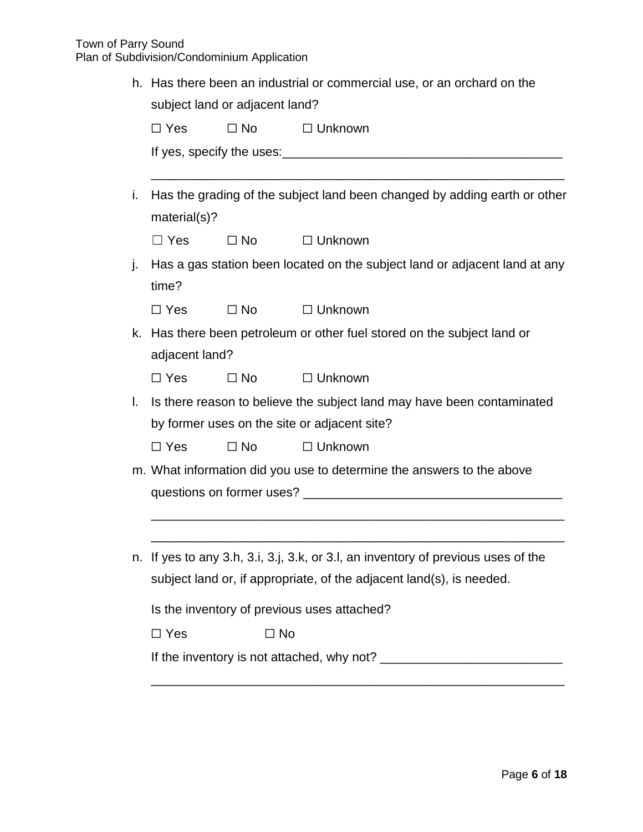| Has there been an industrial or commercial use, or an orchard on the<br>h.<br>subject land or adjacent land? |                                                                                   |           |                                                                            |  |  |
|--------------------------------------------------------------------------------------------------------------|-----------------------------------------------------------------------------------|-----------|----------------------------------------------------------------------------|--|--|
|                                                                                                              |                                                                                   |           |                                                                            |  |  |
|                                                                                                              |                                                                                   |           |                                                                            |  |  |
| j.                                                                                                           | material(s)?                                                                      |           | Has the grading of the subject land been changed by adding earth or other  |  |  |
|                                                                                                              | $\Box$ Yes                                                                        | $\Box$ No | $\Box$ Unknown                                                             |  |  |
| j.                                                                                                           | time?                                                                             |           | Has a gas station been located on the subject land or adjacent land at any |  |  |
|                                                                                                              | $\Box$ Yes                                                                        | $\Box$ No | $\Box$ Unknown                                                             |  |  |
| k.                                                                                                           |                                                                                   |           | Has there been petroleum or other fuel stored on the subject land or       |  |  |
|                                                                                                              | adjacent land?                                                                    |           |                                                                            |  |  |
|                                                                                                              | $\Box$ Yes                                                                        | $\Box$ No | $\Box$ Unknown                                                             |  |  |
| $\mathbf{L}$                                                                                                 |                                                                                   |           | Is there reason to believe the subject land may have been contaminated     |  |  |
|                                                                                                              | by former uses on the site or adjacent site?                                      |           |                                                                            |  |  |
|                                                                                                              | $\Box$ Yes                                                                        | $\Box$ No | $\Box$ Unknown                                                             |  |  |
|                                                                                                              |                                                                                   |           | m. What information did you use to determine the answers to the above      |  |  |
|                                                                                                              |                                                                                   |           |                                                                            |  |  |
|                                                                                                              |                                                                                   |           |                                                                            |  |  |
|                                                                                                              | n. If yes to any 3.h, 3.i, 3.j, 3.k, or 3.l, an inventory of previous uses of the |           |                                                                            |  |  |
|                                                                                                              | subject land or, if appropriate, of the adjacent land(s), is needed.              |           |                                                                            |  |  |
|                                                                                                              |                                                                                   |           | Is the inventory of previous uses attached?                                |  |  |
|                                                                                                              | $\Box$ Yes                                                                        | $\Box$ No |                                                                            |  |  |
|                                                                                                              |                                                                                   |           |                                                                            |  |  |

\_\_\_\_\_\_\_\_\_\_\_\_\_\_\_\_\_\_\_\_\_\_\_\_\_\_\_\_\_\_\_\_\_\_\_\_\_\_\_\_\_\_\_\_\_\_\_\_\_\_\_\_\_\_\_\_\_\_\_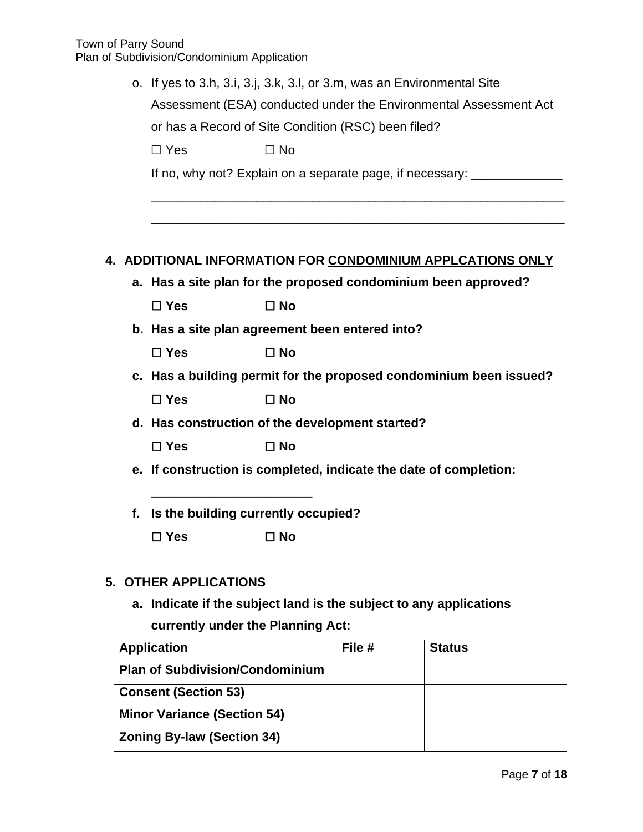|                                                                    | o. If yes to 3.h, 3.i, 3.j, 3.k, 3.l, or 3.m, was an Environmental Site<br>Assessment (ESA) conducted under the Environmental Assessment Act<br>or has a Record of Site Condition (RSC) been filed? |                                                                    |        |                                                                           |  |
|--------------------------------------------------------------------|-----------------------------------------------------------------------------------------------------------------------------------------------------------------------------------------------------|--------------------------------------------------------------------|--------|---------------------------------------------------------------------------|--|
|                                                                    | $\Box$ Yes                                                                                                                                                                                          | $\Box$ No                                                          |        |                                                                           |  |
|                                                                    |                                                                                                                                                                                                     |                                                                    |        | If no, why not? Explain on a separate page, if necessary: _______________ |  |
|                                                                    |                                                                                                                                                                                                     |                                                                    |        |                                                                           |  |
|                                                                    |                                                                                                                                                                                                     |                                                                    |        | 4. ADDITIONAL INFORMATION FOR CONDOMINIUM APPLCATIONS ONLY                |  |
|                                                                    |                                                                                                                                                                                                     | a. Has a site plan for the proposed condominium been approved?     |        |                                                                           |  |
|                                                                    | $\Box$ Yes                                                                                                                                                                                          | $\Box$ No                                                          |        |                                                                           |  |
|                                                                    |                                                                                                                                                                                                     | b. Has a site plan agreement been entered into?                    |        |                                                                           |  |
|                                                                    | $\Box$ Yes                                                                                                                                                                                          | $\square$ No                                                       |        |                                                                           |  |
| c. Has a building permit for the proposed condominium been issued? |                                                                                                                                                                                                     |                                                                    |        |                                                                           |  |
|                                                                    | $\Box$ Yes                                                                                                                                                                                          | $\square$ No                                                       |        |                                                                           |  |
|                                                                    |                                                                                                                                                                                                     | d. Has construction of the development started?                    |        |                                                                           |  |
|                                                                    | $\Box$ Yes                                                                                                                                                                                          | $\square$ No                                                       |        |                                                                           |  |
|                                                                    |                                                                                                                                                                                                     | e. If construction is completed, indicate the date of completion:  |        |                                                                           |  |
| f.                                                                 |                                                                                                                                                                                                     | Is the building currently occupied?                                |        |                                                                           |  |
|                                                                    | $\square$ Yes                                                                                                                                                                                       | $\square$ No                                                       |        |                                                                           |  |
|                                                                    | <b>5. OTHER APPLICATIONS</b>                                                                                                                                                                        |                                                                    |        |                                                                           |  |
|                                                                    |                                                                                                                                                                                                     | a. Indicate if the subject land is the subject to any applications |        |                                                                           |  |
| currently under the Planning Act:                                  |                                                                                                                                                                                                     |                                                                    |        |                                                                           |  |
| <b>Application</b>                                                 |                                                                                                                                                                                                     |                                                                    | File # | <b>Status</b>                                                             |  |

| <b>Application</b>                     | File # | <b>Status</b> |
|----------------------------------------|--------|---------------|
| <b>Plan of Subdivision/Condominium</b> |        |               |
| <b>Consent (Section 53)</b>            |        |               |
| <b>Minor Variance (Section 54)</b>     |        |               |
| <b>Zoning By-law (Section 34)</b>      |        |               |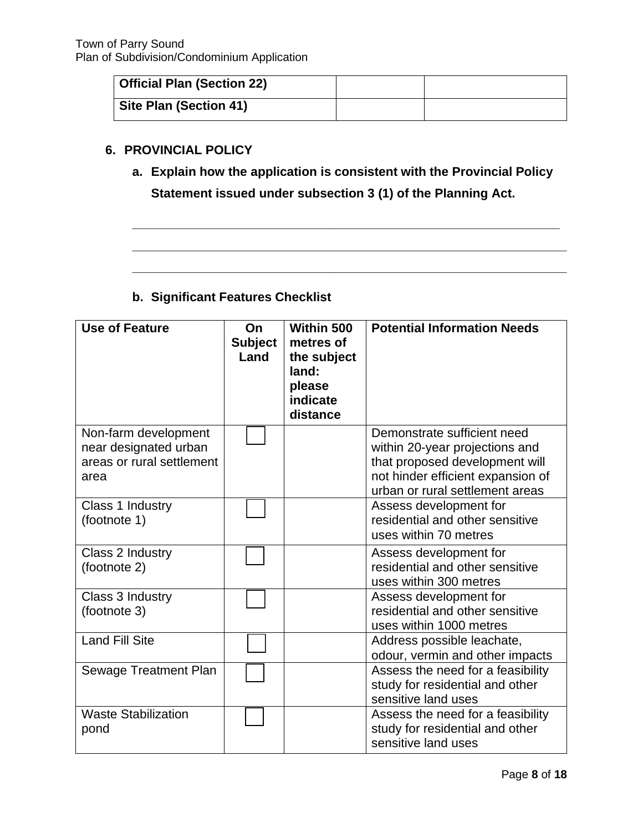| <sup>1</sup> Official Plan (Section 22) |  |
|-----------------------------------------|--|
| Site Plan (Section 41)                  |  |

## **6. PROVINCIAL POLICY**

**a. Explain how the application is consistent with the Provincial Policy Statement issued under subsection 3 (1) of the Planning Act.** 

**\_\_\_\_\_\_\_\_\_\_\_\_\_\_\_\_\_\_\_\_\_\_\_\_\_\_\_\_\_\_\_\_\_\_\_\_\_\_\_\_\_\_\_\_\_\_\_\_\_\_\_\_\_\_\_\_\_\_\_\_\_** 

**\_\_\_\_\_\_\_\_\_\_\_\_\_\_\_\_\_\_\_\_\_\_\_\_\_\_\_\_\_\_\_\_\_\_\_\_\_\_\_\_\_\_\_\_\_\_\_\_\_\_\_\_\_\_\_\_\_\_\_\_\_\_**

**\_\_\_\_\_\_\_\_\_\_\_\_\_\_\_\_\_\_\_\_\_\_\_\_\_\_\_\_\_\_\_\_\_\_\_\_\_\_\_\_\_\_\_\_\_\_\_\_\_\_\_\_\_\_\_\_\_\_\_\_\_\_**

# **b. Significant Features Checklist**

| <b>Use of Feature</b>                                                              | On<br><b>Subject</b><br>Land | Within 500<br>metres of<br>the subject<br>land:<br>please<br>indicate<br>distance | <b>Potential Information Needs</b>                                                                                                                                      |
|------------------------------------------------------------------------------------|------------------------------|-----------------------------------------------------------------------------------|-------------------------------------------------------------------------------------------------------------------------------------------------------------------------|
| Non-farm development<br>near designated urban<br>areas or rural settlement<br>area |                              |                                                                                   | Demonstrate sufficient need<br>within 20-year projections and<br>that proposed development will<br>not hinder efficient expansion of<br>urban or rural settlement areas |
| Class 1 Industry<br>(footnote 1)                                                   |                              |                                                                                   | Assess development for<br>residential and other sensitive<br>uses within 70 metres                                                                                      |
| Class 2 Industry<br>(footnote 2)                                                   |                              |                                                                                   | Assess development for<br>residential and other sensitive<br>uses within 300 metres                                                                                     |
| Class 3 Industry<br>(footnote 3)                                                   |                              |                                                                                   | Assess development for<br>residential and other sensitive<br>uses within 1000 metres                                                                                    |
| <b>Land Fill Site</b>                                                              |                              |                                                                                   | Address possible leachate,<br>odour, vermin and other impacts                                                                                                           |
| Sewage Treatment Plan                                                              |                              |                                                                                   | Assess the need for a feasibility<br>study for residential and other<br>sensitive land uses                                                                             |
| <b>Waste Stabilization</b><br>pond                                                 |                              |                                                                                   | Assess the need for a feasibility<br>study for residential and other<br>sensitive land uses                                                                             |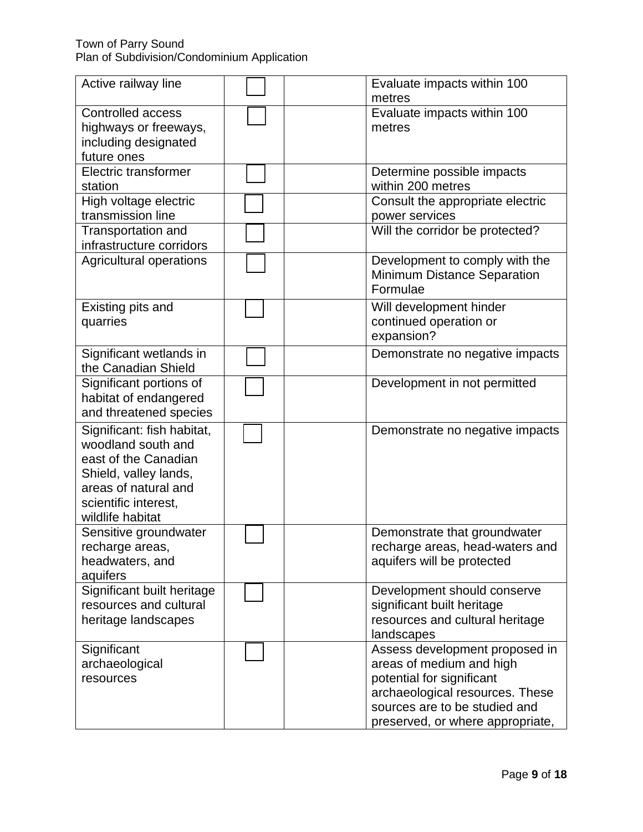#### Town of Parry Sound Plan of Subdivision/Condominium Application

| Active railway line                                                                                                                                                   | Evaluate impacts within 100<br>metres                                                                                                                                                           |
|-----------------------------------------------------------------------------------------------------------------------------------------------------------------------|-------------------------------------------------------------------------------------------------------------------------------------------------------------------------------------------------|
| <b>Controlled access</b><br>highways or freeways,<br>including designated<br>future ones                                                                              | Evaluate impacts within 100<br>metres                                                                                                                                                           |
| <b>Electric transformer</b><br>station                                                                                                                                | Determine possible impacts<br>within 200 metres                                                                                                                                                 |
| High voltage electric<br>transmission line                                                                                                                            | Consult the appropriate electric<br>power services                                                                                                                                              |
| <b>Transportation and</b><br>infrastructure corridors                                                                                                                 | Will the corridor be protected?                                                                                                                                                                 |
| Agricultural operations                                                                                                                                               | Development to comply with the<br><b>Minimum Distance Separation</b><br>Formulae                                                                                                                |
| Existing pits and<br>quarries                                                                                                                                         | Will development hinder<br>continued operation or<br>expansion?                                                                                                                                 |
| Significant wetlands in<br>the Canadian Shield                                                                                                                        | Demonstrate no negative impacts                                                                                                                                                                 |
| Significant portions of<br>habitat of endangered<br>and threatened species                                                                                            | Development in not permitted                                                                                                                                                                    |
| Significant: fish habitat,<br>woodland south and<br>east of the Canadian<br>Shield, valley lands,<br>areas of natural and<br>scientific interest,<br>wildlife habitat | Demonstrate no negative impacts                                                                                                                                                                 |
| Sensitive groundwater<br>recharge areas,<br>headwaters, and<br>aquifers                                                                                               | Demonstrate that groundwater<br>recharge areas, head-waters and<br>aquifers will be protected                                                                                                   |
| Significant built heritage<br>resources and cultural<br>heritage landscapes                                                                                           | Development should conserve<br>significant built heritage<br>resources and cultural heritage<br>landscapes                                                                                      |
| Significant<br>archaeological<br>resources                                                                                                                            | Assess development proposed in<br>areas of medium and high<br>potential for significant<br>archaeological resources. These<br>sources are to be studied and<br>preserved, or where appropriate, |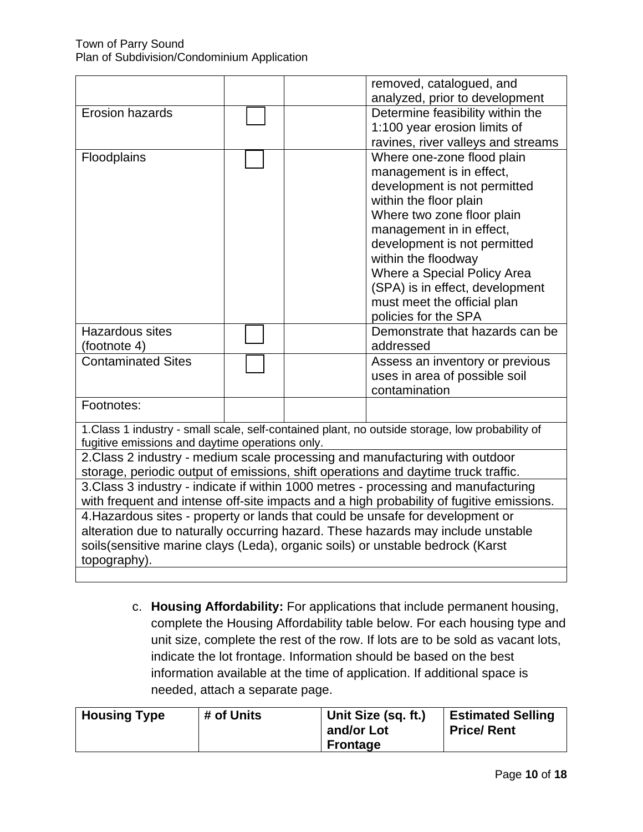|                                                                                                 |  |  | removed, catalogued, and                                                     |
|-------------------------------------------------------------------------------------------------|--|--|------------------------------------------------------------------------------|
|                                                                                                 |  |  | analyzed, prior to development                                               |
| <b>Erosion hazards</b>                                                                          |  |  | Determine feasibility within the                                             |
|                                                                                                 |  |  | 1:100 year erosion limits of                                                 |
|                                                                                                 |  |  | ravines, river valleys and streams                                           |
| Floodplains                                                                                     |  |  | Where one-zone flood plain                                                   |
|                                                                                                 |  |  | management is in effect,                                                     |
|                                                                                                 |  |  | development is not permitted                                                 |
|                                                                                                 |  |  | within the floor plain                                                       |
|                                                                                                 |  |  | Where two zone floor plain                                                   |
|                                                                                                 |  |  | management in in effect,                                                     |
|                                                                                                 |  |  | development is not permitted                                                 |
|                                                                                                 |  |  | within the floodway                                                          |
|                                                                                                 |  |  | Where a Special Policy Area                                                  |
|                                                                                                 |  |  | (SPA) is in effect, development                                              |
|                                                                                                 |  |  | must meet the official plan                                                  |
|                                                                                                 |  |  | policies for the SPA                                                         |
| <b>Hazardous sites</b>                                                                          |  |  | Demonstrate that hazards can be                                              |
| (footnote 4)                                                                                    |  |  | addressed                                                                    |
| <b>Contaminated Sites</b>                                                                       |  |  | Assess an inventory or previous                                              |
|                                                                                                 |  |  | uses in area of possible soil                                                |
|                                                                                                 |  |  | contamination                                                                |
| Footnotes:                                                                                      |  |  |                                                                              |
|                                                                                                 |  |  |                                                                              |
| 1. Class 1 industry - small scale, self-contained plant, no outside storage, low probability of |  |  |                                                                              |
| fugitive emissions and daytime operations only.                                                 |  |  |                                                                              |
|                                                                                                 |  |  | 2. Class 2 industry - medium scale processing and manufacturing with outdoor |
| storage, periodic output of emissions, shift operations and daytime truck traffic.              |  |  |                                                                              |
| 3. Class 3 industry - indicate if within 1000 metres - processing and manufacturing             |  |  |                                                                              |
| with frequent and intense off-site impacts and a high probability of fugitive emissions.        |  |  |                                                                              |
| 4. Hazardous sites - property or lands that could be unsafe for development or                  |  |  |                                                                              |
| alteration due to naturally occurring hazard. These hazards may include unstable                |  |  |                                                                              |
| soils(sensitive marine clays (Leda), organic soils) or unstable bedrock (Karst                  |  |  |                                                                              |
| topography).                                                                                    |  |  |                                                                              |
|                                                                                                 |  |  |                                                                              |

c. **Housing Affordability:** For applications that include permanent housing, complete the Housing Affordability table below. For each housing type and unit size, complete the rest of the row. If lots are to be sold as vacant lots, indicate the lot frontage. Information should be based on the best information available at the time of application. If additional space is needed, attach a separate page.

| <b>Housing Type</b><br># of Units | Unit Size (sq. ft.)<br>and/or Lot<br><b>Frontage</b> | <b>Estimated Selling</b><br><b>Price/Rent</b> |
|-----------------------------------|------------------------------------------------------|-----------------------------------------------|
|-----------------------------------|------------------------------------------------------|-----------------------------------------------|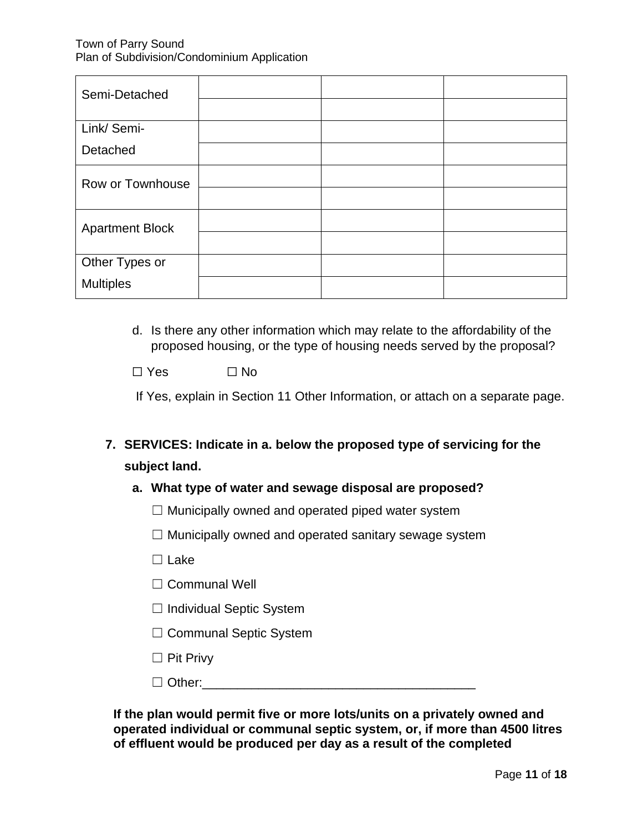| Semi-Detached          |  |  |
|------------------------|--|--|
|                        |  |  |
| Link/ Semi-            |  |  |
| Detached               |  |  |
| Row or Townhouse       |  |  |
|                        |  |  |
| <b>Apartment Block</b> |  |  |
|                        |  |  |
| Other Types or         |  |  |
| <b>Multiples</b>       |  |  |

d. Is there any other information which may relate to the affordability of the proposed housing, or the type of housing needs served by the proposal?

 $\Box$  Yes  $\Box$  No.

If Yes, explain in Section 11 Other Information, or attach on a separate page.

# **7. SERVICES: Indicate in a. below the proposed type of servicing for the subject land.**

### **a. What type of water and sewage disposal are proposed?**

- $\Box$  Municipally owned and operated piped water system
- $\Box$  Municipally owned and operated sanitary sewage system
- ☐ Lake
- □ Communal Well
- ☐ Individual Septic System
- ☐ Communal Septic System
- ☐ Pit Privy
- $\Box$  Other:

**If the plan would permit five or more lots/units on a privately owned and operated individual or communal septic system, or, if more than 4500 litres of effluent would be produced per day as a result of the completed**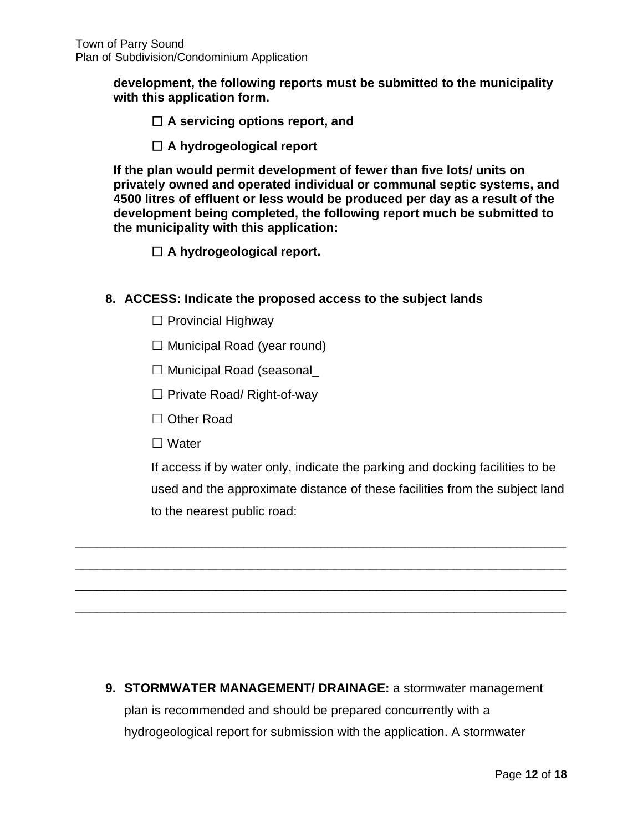**development, the following reports must be submitted to the municipality with this application form.** 

- ☐ **A servicing options report, and**
- ☐ **A hydrogeological report**

**If the plan would permit development of fewer than five lots/ units on privately owned and operated individual or communal septic systems, and 4500 litres of effluent or less would be produced per day as a result of the development being completed, the following report much be submitted to the municipality with this application:** 

☐ **A hydrogeological report.**

## **8. ACCESS: Indicate the proposed access to the subject lands**

- $\Box$  Provincial Highway
- $\Box$  Municipal Road (year round)
- ☐ Municipal Road (seasonal\_
- ☐ Private Road/ Right-of-way
- ☐ Other Road
- ☐ Water

If access if by water only, indicate the parking and docking facilities to be used and the approximate distance of these facilities from the subject land to the nearest public road:

**9. STORMWATER MANAGEMENT/ DRAINAGE:** a stormwater management plan is recommended and should be prepared concurrently with a hydrogeological report for submission with the application. A stormwater

\_\_\_\_\_\_\_\_\_\_\_\_\_\_\_\_\_\_\_\_\_\_\_\_\_\_\_\_\_\_\_\_\_\_\_\_\_\_\_\_\_\_\_\_\_\_\_\_\_\_\_\_\_\_\_\_\_\_\_\_\_\_\_\_\_\_\_\_\_\_

\_\_\_\_\_\_\_\_\_\_\_\_\_\_\_\_\_\_\_\_\_\_\_\_\_\_\_\_\_\_\_\_\_\_\_\_\_\_\_\_\_\_\_\_\_\_\_\_\_\_\_\_\_\_\_\_\_\_\_\_\_\_\_\_\_\_\_\_\_\_

\_\_\_\_\_\_\_\_\_\_\_\_\_\_\_\_\_\_\_\_\_\_\_\_\_\_\_\_\_\_\_\_\_\_\_\_\_\_\_\_\_\_\_\_\_\_\_\_\_\_\_\_\_\_\_\_\_\_\_\_\_\_\_\_\_\_\_\_\_\_

\_\_\_\_\_\_\_\_\_\_\_\_\_\_\_\_\_\_\_\_\_\_\_\_\_\_\_\_\_\_\_\_\_\_\_\_\_\_\_\_\_\_\_\_\_\_\_\_\_\_\_\_\_\_\_\_\_\_\_\_\_\_\_\_\_\_\_\_\_\_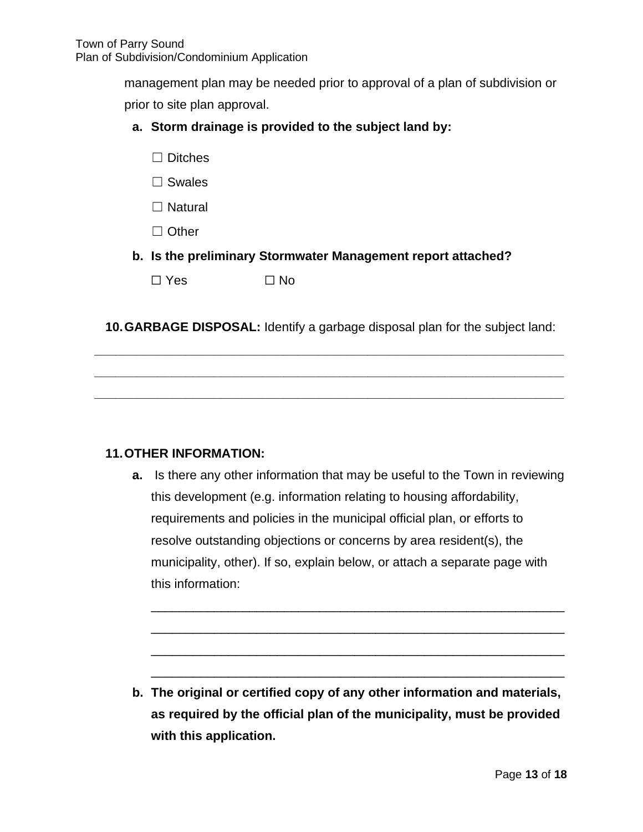management plan may be needed prior to approval of a plan of subdivision or

prior to site plan approval.

## **a. Storm drainage is provided to the subject land by:**

- ☐ Ditches
- □ Swales
- □ Natural
- □ Other
- **b. Is the preliminary Stormwater Management report attached?**

 $\Box$  Yes  $\Box$  No

**10.GARBAGE DISPOSAL:** Identify a garbage disposal plan for the subject land:

**\_\_\_\_\_\_\_\_\_\_\_\_\_\_\_\_\_\_\_\_\_\_\_\_\_\_\_\_\_\_\_\_\_\_\_\_\_\_\_\_\_\_\_\_\_\_\_\_\_\_\_\_\_\_\_\_\_\_\_\_\_\_\_\_\_\_\_** 

**\_\_\_\_\_\_\_\_\_\_\_\_\_\_\_\_\_\_\_\_\_\_\_\_\_\_\_\_\_\_\_\_\_\_\_\_\_\_\_\_\_\_\_\_\_\_\_\_\_\_\_\_\_\_\_\_\_\_\_\_\_\_\_\_\_\_\_** 

**\_\_\_\_\_\_\_\_\_\_\_\_\_\_\_\_\_\_\_\_\_\_\_\_\_\_\_\_\_\_\_\_\_\_\_\_\_\_\_\_\_\_\_\_\_\_\_\_\_\_\_\_\_\_\_\_\_\_\_\_\_\_\_\_\_\_\_**

### **11.OTHER INFORMATION:**

**a.** Is there any other information that may be useful to the Town in reviewing this development (e.g. information relating to housing affordability, requirements and policies in the municipal official plan, or efforts to resolve outstanding objections or concerns by area resident(s), the municipality, other). If so, explain below, or attach a separate page with this information:

\_\_\_\_\_\_\_\_\_\_\_\_\_\_\_\_\_\_\_\_\_\_\_\_\_\_\_\_\_\_\_\_\_\_\_\_\_\_\_\_\_\_\_\_\_\_\_\_\_\_\_\_\_\_\_\_\_\_\_

\_\_\_\_\_\_\_\_\_\_\_\_\_\_\_\_\_\_\_\_\_\_\_\_\_\_\_\_\_\_\_\_\_\_\_\_\_\_\_\_\_\_\_\_\_\_\_\_\_\_\_\_\_\_\_\_\_\_\_

\_\_\_\_\_\_\_\_\_\_\_\_\_\_\_\_\_\_\_\_\_\_\_\_\_\_\_\_\_\_\_\_\_\_\_\_\_\_\_\_\_\_\_\_\_\_\_\_\_\_\_\_\_\_\_\_\_\_\_

\_\_\_\_\_\_\_\_\_\_\_\_\_\_\_\_\_\_\_\_\_\_\_\_\_\_\_\_\_\_\_\_\_\_\_\_\_\_\_\_\_\_\_\_\_\_\_\_\_\_\_\_\_\_\_\_\_\_\_

**b. The original or certified copy of any other information and materials, as required by the official plan of the municipality, must be provided with this application.**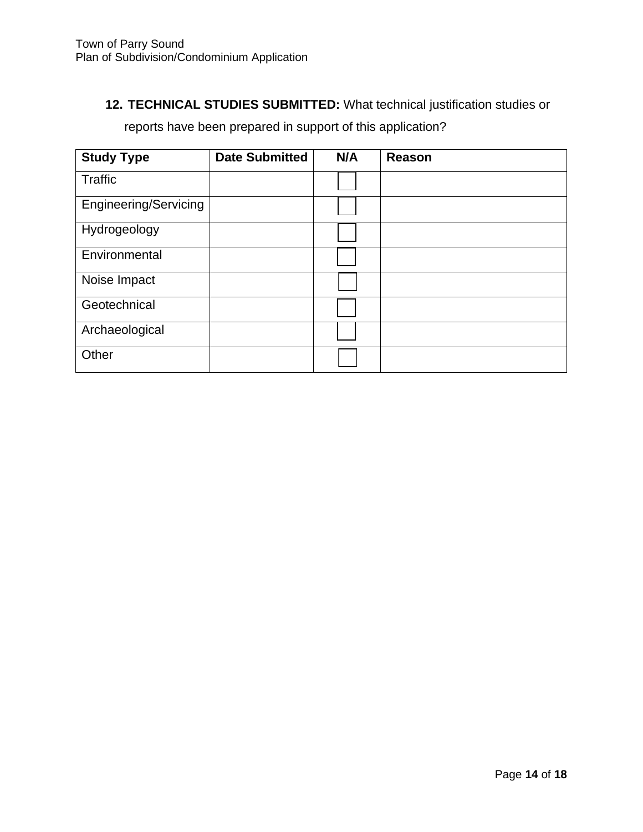# **12. TECHNICAL STUDIES SUBMITTED:** What technical justification studies or

reports have been prepared in support of this application?

| <b>Study Type</b>            | <b>Date Submitted</b> | N/A | <b>Reason</b> |
|------------------------------|-----------------------|-----|---------------|
| Traffic                      |                       |     |               |
| <b>Engineering/Servicing</b> |                       |     |               |
| Hydrogeology                 |                       |     |               |
| Environmental                |                       |     |               |
| Noise Impact                 |                       |     |               |
| Geotechnical                 |                       |     |               |
| Archaeological               |                       |     |               |
| Other                        |                       |     |               |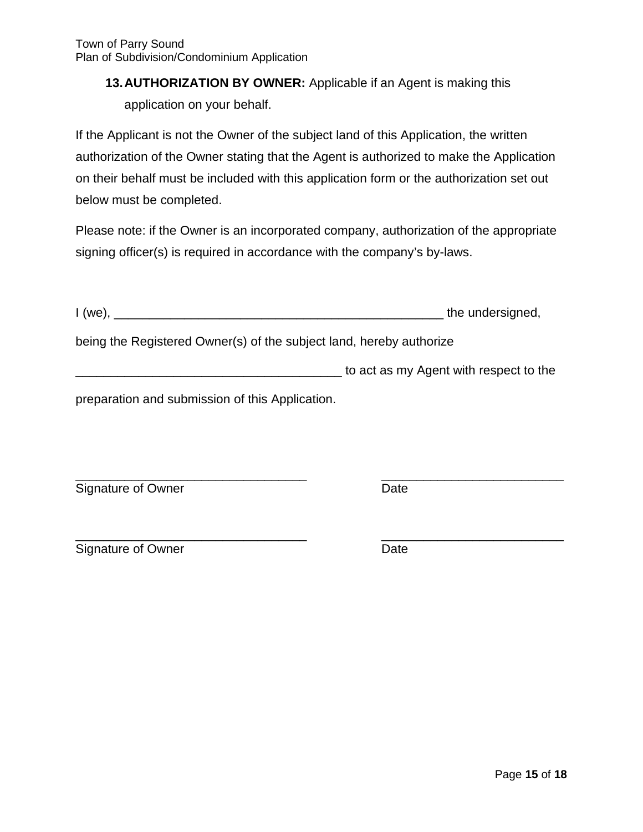# **13.AUTHORIZATION BY OWNER:** Applicable if an Agent is making this application on your behalf.

If the Applicant is not the Owner of the subject land of this Application, the written authorization of the Owner stating that the Agent is authorized to make the Application on their behalf must be included with this application form or the authorization set out below must be completed.

Please note: if the Owner is an incorporated company, authorization of the appropriate signing officer(s) is required in accordance with the company's by-laws.

| I (we),                                                             | the undersigned,                       |
|---------------------------------------------------------------------|----------------------------------------|
| being the Registered Owner(s) of the subject land, hereby authorize |                                        |
|                                                                     | to act as my Agent with respect to the |

preparation and submission of this Application.

\_\_\_\_\_\_\_\_\_\_\_\_\_\_\_\_\_\_\_\_\_\_\_\_\_\_\_\_\_\_\_\_\_ \_\_\_\_\_\_\_\_\_\_\_\_\_\_\_\_\_\_\_\_\_\_\_\_\_\_ Signature of Owner Date

\_\_\_\_\_\_\_\_\_\_\_\_\_\_\_\_\_\_\_\_\_\_\_\_\_\_\_\_\_\_\_\_\_ \_\_\_\_\_\_\_\_\_\_\_\_\_\_\_\_\_\_\_\_\_\_\_\_\_\_ Signature of Owner **Date** Date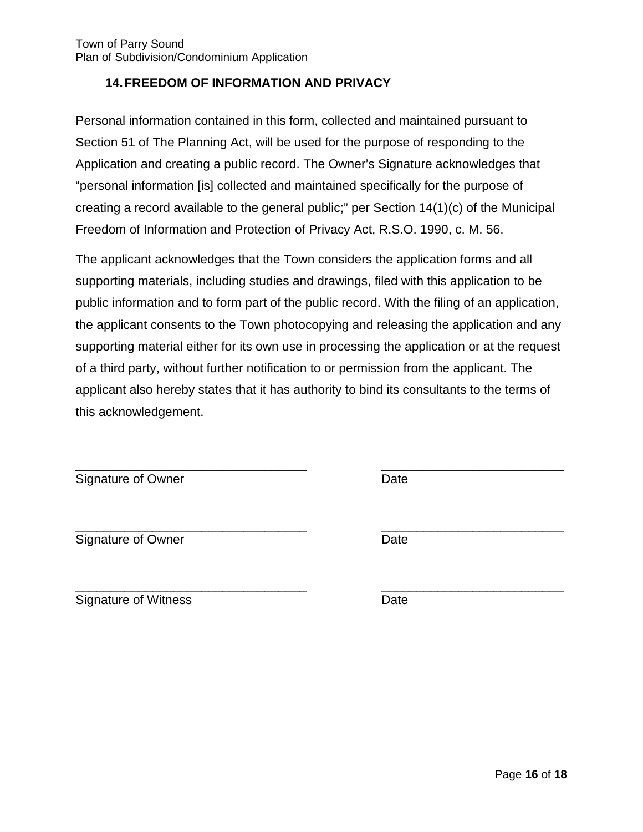## **14.FREEDOM OF INFORMATION AND PRIVACY**

Personal information contained in this form, collected and maintained pursuant to Section 51 of The Planning Act, will be used for the purpose of responding to the Application and creating a public record. The Owner's Signature acknowledges that "personal information [is] collected and maintained specifically for the purpose of creating a record available to the general public;" per Section 14(1)(c) of the Municipal Freedom of Information and Protection of Privacy Act, R.S.O. 1990, c. M. 56.

The applicant acknowledges that the Town considers the application forms and all supporting materials, including studies and drawings, filed with this application to be public information and to form part of the public record. With the filing of an application, the applicant consents to the Town photocopying and releasing the application and any supporting material either for its own use in processing the application or at the request of a third party, without further notification to or permission from the applicant. The applicant also hereby states that it has authority to bind its consultants to the terms of this acknowledgement.

\_\_\_\_\_\_\_\_\_\_\_\_\_\_\_\_\_\_\_\_\_\_\_\_\_\_\_\_\_\_\_\_\_ \_\_\_\_\_\_\_\_\_\_\_\_\_\_\_\_\_\_\_\_\_\_\_\_\_\_

| Signature of Owner | Date |
|--------------------|------|
|--------------------|------|

Signature of Owner **Date** 

\_\_\_\_\_\_\_\_\_\_\_\_\_\_\_\_\_\_\_\_\_\_\_\_\_\_\_\_\_\_\_\_\_ \_\_\_\_\_\_\_\_\_\_\_\_\_\_\_\_\_\_\_\_\_\_\_\_\_\_

\_\_\_\_\_\_\_\_\_\_\_\_\_\_\_\_\_\_\_\_\_\_\_\_\_\_\_\_\_\_\_\_\_ \_\_\_\_\_\_\_\_\_\_\_\_\_\_\_\_\_\_\_\_\_\_\_\_\_\_ Signature of Witness Date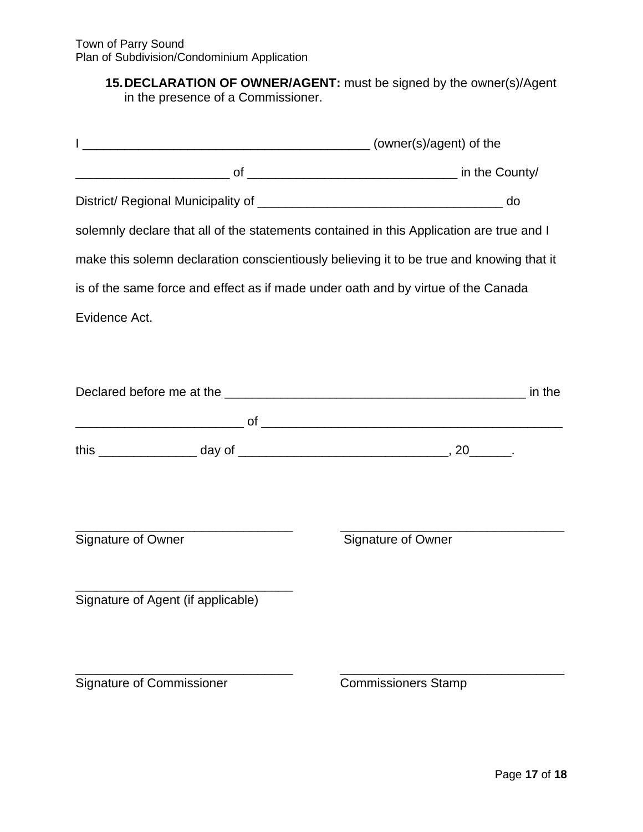## **15.DECLARATION OF OWNER/AGENT:** must be signed by the owner(s)/Agent in the presence of a Commissioner.

|                                    | solemnly declare that all of the statements contained in this Application are true and I |  |
|------------------------------------|------------------------------------------------------------------------------------------|--|
|                                    | make this solemn declaration conscientiously believing it to be true and knowing that it |  |
|                                    | is of the same force and effect as if made under oath and by virtue of the Canada        |  |
| Evidence Act.                      |                                                                                          |  |
|                                    |                                                                                          |  |
|                                    |                                                                                          |  |
|                                    |                                                                                          |  |
|                                    |                                                                                          |  |
|                                    |                                                                                          |  |
|                                    |                                                                                          |  |
| Signature of Owner                 | Signature of Owner                                                                       |  |
|                                    |                                                                                          |  |
| Signature of Agent (if applicable) |                                                                                          |  |
|                                    |                                                                                          |  |
|                                    |                                                                                          |  |
| <b>Signature of Commissioner</b>   | <b>Commissioners Stamp</b>                                                               |  |